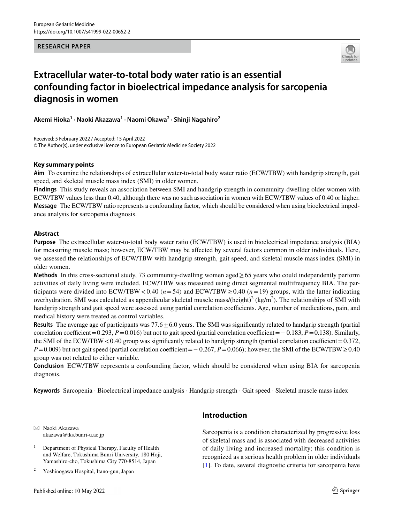## **RESEARCH PAPER**



# **Extracellular water‑to‑total body water ratio is an essential confounding factor in bioelectrical impedance analysis for sarcopenia diagnosis in women**

**Akemi Hioka<sup>1</sup> · Naoki Akazawa1 · Naomi Okawa2 · Shinji Nagahiro2**

Received: 5 February 2022 / Accepted: 15 April 2022 © The Author(s), under exclusive licence to European Geriatric Medicine Society 2022

#### **Key summary points**

**Aim** To examine the relationships of extracellular water-to-total body water ratio (ECW/TBW) with handgrip strength, gait speed, and skeletal muscle mass index (SMI) in older women.

**Findings** This study reveals an association between SMI and handgrip strength in community-dwelling older women with ECW/TBW values less than 0.40, although there was no such association in women with ECW/TBW values of 0.40 or higher. **Message** The ECW/TBW ratio represents a confounding factor, which should be considered when using bioelectrical impedance analysis for sarcopenia diagnosis.

# **Abstract**

**Purpose** The extracellular water-to-total body water ratio (ECW/TBW) is used in bioelectrical impedance analysis (BIA) for measuring muscle mass; however, ECW/TBW may be afected by several factors common in older individuals. Here, we assessed the relationships of ECW/TBW with handgrip strength, gait speed, and skeletal muscle mass index (SMI) in older women.

**Methods** In this cross-sectional study, 73 community-dwelling women aged≥65 years who could independently perform activities of daily living were included. ECW/TBW was measured using direct segmental multifrequency BIA. The participants were divided into ECW/TBW < 0.40 ( $n=54$ ) and ECW/TBW ≥ 0.40 ( $n=19$ ) groups, with the latter indicating overhydration. SMI was calculated as appendicular skeletal muscle mass/(height)<sup>2</sup> (kg/m<sup>2</sup>). The relationships of SMI with handgrip strength and gait speed were assessed using partial correlation coefficients. Age, number of medications, pain, and medical history were treated as control variables.

**Results** The average age of participants was  $77.6 \pm 6.0$  years. The SMI was significantly related to handgrip strength (partial correlation coefficient=0.293,  $P=0.016$ ) but not to gait speed (partial correlation coefficient=− 0.183,  $P=0.138$ ). Similarly, the SMI of the ECW/TBW < 0.40 group was significantly related to handgrip strength (partial correlation coefficient =  $0.372$ ,  $P=0.009$ ) but not gait speed (partial correlation coefficient = − 0.267,  $P=0.066$ ); however, the SMI of the ECW/TBW ≥0.40 group was not related to either variable.

**Conclusion** ECW/TBW represents a confounding factor, which should be considered when using BIA for sarcopenia diagnosis.

**Keywords** Sarcopenia · Bioelectrical impedance analysis · Handgrip strength · Gait speed · Skeletal muscle mass index

 $\boxtimes$  Naoki Akazawa akazawa@tks.bunri-u.ac.jp

<sup>2</sup> Yoshinogawa Hospital, Itano-gun, Japan

# **Introduction**

Sarcopenia is a condition characterized by progressive loss of skeletal mass and is associated with decreased activities of daily living and increased mortality; this condition is recognized as a serious health problem in older individuals [[1\]](#page-4-0). To date, several diagnostic criteria for sarcopenia have

<sup>&</sup>lt;sup>1</sup> Department of Physical Therapy, Faculty of Health and Welfare, Tokushima Bunri University, 180 Hoji, Yamashiro-cho, Tokushima City 770-8514, Japan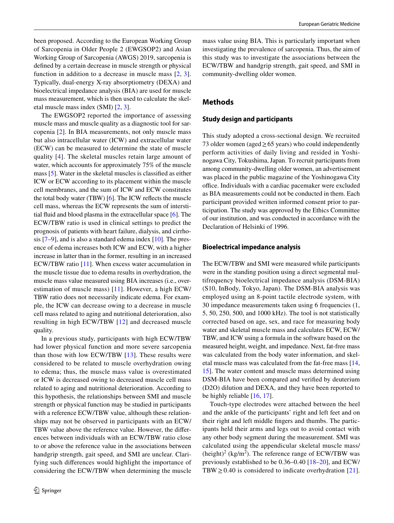been proposed. According to the European Working Group of Sarcopenia in Older People 2 (EWGSOP2) and Asian Working Group of Sarcopenia (AWGS) 2019, sarcopenia is defned by a certain decrease in muscle strength or physical function in addition to a decrease in muscle mass [[2](#page-4-1), [3](#page-4-2)]. Typically, dual-energy X-ray absorptiometry (DEXA) and bioelectrical impedance analysis (BIA) are used for muscle mass measurement, which is then used to calculate the skeletal muscle mass index (SMI) [[2](#page-4-1), [3](#page-4-2)].

The EWGSOP2 reported the importance of assessing muscle mass and muscle quality as a diagnostic tool for sarcopenia [\[2\]](#page-4-1). In BIA measurements, not only muscle mass but also intracellular water (ICW) and extracellular water (ECW) can be measured to determine the state of muscle quality [[4](#page-4-3)]. The skeletal muscles retain large amount of water, which accounts for approximately 75% of the muscle mass [[5\]](#page-4-4). Water in the skeletal muscles is classifed as either ICW or ECW according to its placement within the muscle cell membranes, and the sum of ICW and ECW constitutes the total body water (TBW) [\[6](#page-4-5)]. The ICW refects the muscle cell mass, whereas the ECW represents the sum of interstitial fuid and blood plasma in the extracellular space [[6\]](#page-4-5). The ECW/TBW ratio is used in clinical settings to predict the prognosis of patients with heart failure, dialysis, and cirrhosis  $[7-9]$  $[7-9]$ , and is also a standard edema index  $[10]$  $[10]$ . The presence of edema increases both ICW and ECW, with a higher increase in latter than in the former, resulting in an increased ECW/TBW ratio [\[11](#page-5-1)]. When excess water accumulation in the muscle tissue due to edema results in overhydration, the muscle mass value measured using BIA increases (i.e., overestimation of muscle mass) [\[11\]](#page-5-1). However, a high ECW/ TBW ratio does not necessarily indicate edema. For example, the ICW can decrease owing to a decrease in muscle cell mass related to aging and nutritional deterioration, also resulting in high ECW/TBW [[12\]](#page-5-2) and decreased muscle quality.

In a previous study, participants with high ECW/TBW had lower physical function and more severe sarcopenia than those with low ECW/TBW  $[13]$  $[13]$ . These results were considered to be related to muscle overhydration owing to edema; thus, the muscle mass value is overestimated or ICW is decreased owing to decreased muscle cell mass related to aging and nutritional deterioration. According to this hypothesis, the relationships between SMI and muscle strength or physical function may be studied in participants with a reference ECW/TBW value, although these relationships may not be observed in participants with an ECW/ TBW value above the reference value. However, the diferences between individuals with an ECW/TBW ratio close to or above the reference value in the associations between handgrip strength, gait speed, and SMI are unclear. Clarifying such diferences would highlight the importance of considering the ECW/TBW when determining the muscle mass value using BIA. This is particularly important when investigating the prevalence of sarcopenia. Thus, the aim of this study was to investigate the associations between the ECW/TBW and handgrip strength, gait speed, and SMI in community-dwelling older women.

# **Methods**

## **Study design and participants**

This study adopted a cross-sectional design. We recruited 73 older women (aged  $\geq$  65 years) who could independently perform activities of daily living and resided in Yoshinogawa City, Tokushima, Japan. To recruit participants from among community-dwelling older women, an advertisement was placed in the public magazine of the Yoshinogawa City office. Individuals with a cardiac pacemaker were excluded as BIA measurements could not be conducted in them. Each participant provided written informed consent prior to participation. The study was approved by the Ethics Committee of our institution, and was conducted in accordance with the Declaration of Helsinki of 1996.

#### **Bioelectrical impedance analysis**

The ECW/TBW and SMI were measured while participants were in the standing position using a direct segmental multifrequency bioelectrical impedance analysis (DSM-BIA) (S10, InBody, Tokyo, Japan). The DSM-BIA analysis was employed using an 8-point tactile electrode system, with 30 impedance measurements taken using 6 frequencies (1, 5, 50, 250, 500, and 1000 kHz). The tool is not statistically corrected based on age, sex, and race for measuring body water and skeletal muscle mass and calculates ECW, ECW/ TBW, and ICW using a formula in the software based on the measured height, weight, and impedance. Next, fat-free mass was calculated from the body water information, and skeletal muscle mass was calculated from the fat-free mass [[14,](#page-5-4) [15](#page-5-5)]. The water content and muscle mass determined using DSM-BIA have been compared and verifed by deuterium (D2O) dilution and DEXA, and they have been reported to be highly reliable [\[16](#page-5-6), [17\]](#page-5-7).

Touch-type electrodes were attached between the heel and the ankle of the participants' right and left feet and on their right and left middle fngers and thumbs. The participants held their arms and legs out to avoid contact with any other body segment during the measurement. SMI was calculated using the appendicular skeletal muscle mass/  $(height)^2 (kg/m^2)$ . The reference range of ECW/TBW was previously established to be 0.36–0.40 [[18](#page-5-8)[–20](#page-5-9)], and ECW/ TBW  $\geq$  0.40 is considered to indicate overhydration [[21](#page-5-10)].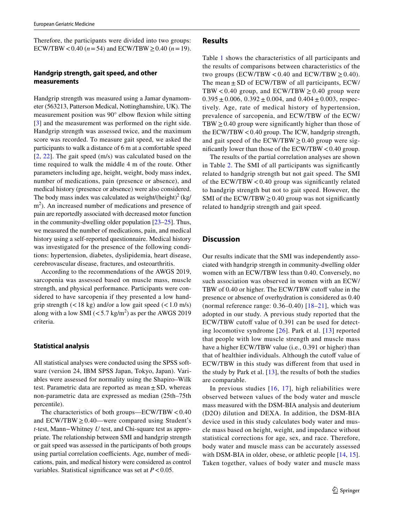Therefore, the participants were divided into two groups: ECW/TBW < 0.40 ( $n = 54$ ) and ECW/TBW  $\geq$  0.40 ( $n = 19$ ).

# **Handgrip strength, gait speed, and other measurements**

Handgrip strength was measured using a Jamar dynamometer (563213, Patterson Medical, Nottinghamshire, UK). The measurement position was 90° elbow fexion while sitting [\[3\]](#page-4-2) and the measurement was performed on the right side. Handgrip strength was assessed twice, and the maximum score was recorded. To measure gait speed, we asked the participants to walk a distance of 6 m at a comfortable speed  $[2, 22]$  $[2, 22]$  $[2, 22]$ . The gait speed  $(m/s)$  was calculated based on the time required to walk the middle 4 m of the route. Other parameters including age, height, weight, body mass index, number of medications, pain (presence or absence), and medical history (presence or absence) were also considered. The body mass index was calculated as weight/(height)<sup>2</sup> (kg/ m<sup>2</sup>). An increased number of medications and presence of pain are reportedly associated with decreased motor function in the community-dwelling older population [\[23](#page-5-12)[–25](#page-5-13)]. Thus, we measured the number of medications, pain, and medical history using a self-reported questionnaire. Medical history was investigated for the presence of the following conditions: hypertension, diabetes, dyslipidemia, heart disease, cerebrovascular disease, fractures, and osteoarthritis.

According to the recommendations of the AWGS 2019, sarcopenia was assessed based on muscle mass, muscle strength, and physical performance. Participants were considered to have sarcopenia if they presented a low handgrip strength  $(< 18 \text{ kg})$  and/or a low gait speed  $(< 1.0 \text{ m/s})$ along with a low SMI  $\left(\langle 5.7 \text{ kg/m}^2 \right)$  as per the AWGS 2019 criteria.

#### **Statistical analysis**

All statistical analyses were conducted using the SPSS software (version 24, IBM SPSS Japan, Tokyo, Japan). Variables were assessed for normality using the Shapiro–Wilk test. Parametric data are reported as mean  $\pm$  SD, whereas non-parametric data are expressed as median (25th–75th percentile).

The characteristics of both groups—ECW/TBW  $< 0.40$ and  $ECW/TBW \ge 0.40$ —were compared using Student's *t*-test, Mann−Whitney *U* test, and Chi-square test as appropriate. The relationship between SMI and handgrip strength or gait speed was assessed in the participants of both groups using partial correlation coefficients. Age, number of medications, pain, and medical history were considered as control variables. Statistical significance was set at  $P < 0.05$ .

## **Results**

Table [1](#page-3-0) shows the characteristics of all participants and the results of comparisons between characteristics of the two groups (ECW/TBW < 0.40 and ECW/TBW  $\geq$  0.40). The mean  $\pm$  SD of ECW/TBW of all participants, ECW/ TBW < 0.40 group, and ECW/TBW  $\geq$  0.40 group were  $0.395 \pm 0.006$ ,  $0.392 \pm 0.004$ , and  $0.404 \pm 0.003$ , respectively. Age, rate of medical history of hypertension, prevalence of sarcopenia, and ECW/TBW of the ECW/ TBW  $\geq$  0.40 group were significantly higher than those of the ECW/TBW<0.40 group. The ICW, handgrip strength, and gait speed of the ECW/TBW  $\geq$  0.40 group were significantly lower than those of the  $ECW/TBW < 0.40$  group.

The results of the partial correlation analyses are shown in Table [2](#page-4-8). The SMI of all participants was signifcantly related to handgrip strength but not gait speed. The SMI of the ECW/TBW < 0.40 group was signifcantly related to handgrip strength but not to gait speed. However, the SMI of the ECW/TBW  $\geq$  0.40 group was not significantly related to handgrip strength and gait speed.

## **Discussion**

Our results indicate that the SMI was independently associated with handgrip strength in community-dwelling older women with an ECW/TBW less than 0.40. Conversely, no such association was observed in women with an ECW/ TBW of 0.40 or higher. The ECW/TBW cutoff value in the presence or absence of overhydration is considered as 0.40 (normal reference range: 0.36–0.40) [[18](#page-5-8)–[21](#page-5-10)], which was adopted in our study. A previous study reported that the ECW/TBW cutoff value of 0.391 can be used for detecting locomotive syndrome [\[26\]](#page-5-14). Park et al. [[13](#page-5-3)] reported that people with low muscle strength and muscle mass have a higher ECW/TBW value (i.e., 0.391 or higher) than that of healthier individuals. Although the cutoff value of ECW/TBW in this study was diferent from that used in the study by Park et al. [\[13\]](#page-5-3), the results of both the studies are comparable.

In previous studies [[16,](#page-5-6) [17](#page-5-7)], high reliabilities were observed between values of the body water and muscle mass measured with the DSM-BIA analysis and deuterium (D2O) dilution and DEXA. In addition, the DSM-BIA device used in this study calculates body water and muscle mass based on height, weight, and impedance without statistical corrections for age, sex, and race. Therefore, body water and muscle mass can be accurately assessed with DSM-BIA in older, obese, or athletic people [[14](#page-5-4), [15](#page-5-5)]. Taken together, values of body water and muscle mass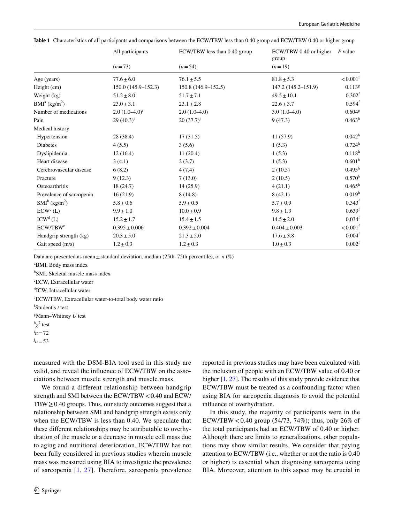|                                       | All participants<br>$(n=73)$ | ECW/TBW less than 0.40 group<br>$(n=54)$ | ECW/TBW 0.40 or higher<br>group | $P$ value              |
|---------------------------------------|------------------------------|------------------------------------------|---------------------------------|------------------------|
|                                       |                              |                                          | $(n=19)$                        |                        |
| Age (years)                           | $77.6 \pm 6.0$               | $76.1 \pm 5.5$                           | $81.8 \pm 5.3$                  | $< 0.001$ <sup>f</sup> |
| Height (cm)                           | $150.0(145.9-152.3)$         | $150.8(146.9-152.5)$                     | 147.2 (145.2–151.9)             | $0.113$ <sup>g</sup>   |
| Weight (kg)                           | $51.2\pm8.0$                 | $51.7 \pm 7.1$                           | $49.5 \pm 10.1$                 | 0.302 <sup>f</sup>     |
| BMI <sup>a</sup> (kg/m <sup>2</sup> ) | $23.0 \pm 3.1$               | $23.1 \pm 2.8$                           | $22.6 \pm 3.7$                  | 0.594 <sup>f</sup>     |
| Number of medications                 | $2.0(1.0-4.0)^{i}$           | $2.0(1.0-4.0)$                           | $3.0(1.0-4.0)$                  | 0.604 <sup>g</sup>     |
| Pain                                  | 29 $(40.3)^{i}$              | $20(37.7)^{j}$                           | 9(47.3)                         | 0.463 <sup>h</sup>     |
| Medical history                       |                              |                                          |                                 |                        |
| Hypertension                          | 28 (38.4)                    | 17(31.5)                                 | 11(57.9)                        | 0.042 <sup>h</sup>     |
| <b>Diabetes</b>                       | 4(5.5)                       | 3(5.6)                                   | 1(5.3)                          | 0.724 <sup>h</sup>     |
| Dyslipidemia                          | 12(16.4)                     | 11(20.4)                                 | 1(5.3)                          | 0.118 <sup>h</sup>     |
| Heart disease                         | 3(4.1)                       | 2(3.7)                                   | 1(5.3)                          | 0.601 <sup>h</sup>     |
| Cerebrovascular disease               | 6(8.2)                       | 4(7.4)                                   | 2(10.5)                         | $0.495^h$              |
| Fracture                              | 9(12.3)                      | 7(13.0)                                  | 2(10.5)                         | 0.570 <sup>h</sup>     |
| Osteoarthritis                        | 18(24.7)                     | 14(25.9)                                 | 4(21.1)                         | $0.465^{\rm h}$        |
| Prevalence of sarcopenia              | 16(21.9)                     | 8(14.8)                                  | 8(42.1)                         | 0.019 <sup>h</sup>     |
| $SMI^b$ (kg/m <sup>2</sup> )          | $5.8 \pm 0.6$                | $5.9 \pm 0.5$                            | $5.7 \pm 0.9$                   | $0.343$ <sup>f</sup>   |
| $ECW^c(L)$                            | $9.9 \pm 1.0$                | $10.0 \pm 0.9$                           | $9.8 \pm 1.3$                   | 0.639 <sup>f</sup>     |
| ICW <sup>d</sup> (L)                  | $15.2 \pm 1.7$               | $15.4 \pm 1.5$                           | $14.5 \pm 2.0$                  | $0.034$ <sup>f</sup>   |
| ECW/TBW <sup>e</sup>                  | $0.395 \pm 0.006$            | $0.392 \pm 0.004$                        | $0.404 \pm 0.003$               | $< 0.001$ <sup>f</sup> |
| Handgrip strength (kg)                | $20.3 \pm 5.0$               | $21.3 \pm 5.0$                           | $17.6 \pm 3.8$                  | 0.004 <sup>f</sup>     |
| Gait speed (m/s)                      | $1.2 \pm 0.3$                | $1.2 \pm 0.3$                            | $1.0 \pm 0.3$                   | 0.002 <sup>f</sup>     |
|                                       |                              |                                          |                                 |                        |

<span id="page-3-0"></span>**Table 1** Characteristics of all participants and comparisons between the ECW/TBW less than 0.40 group and ECW/TBW 0.40 or higher group

Data are presented as mean  $\pm$  standard deviation, median (25th–75th percentile), or *n* (%)

a BMI, Body mass index

b SMI, Skeletal muscle mass index

c ECW, Extracellular water

d ICW, Intracellular water

e ECW/TBW, Extracellular water-to-total body water ratio

f Student's *t* test

g Mann–Whitney *U* test

h *χ*2 test

 $n = 72$ 

 $j_n = 53$ 

measured with the DSM-BIA tool used in this study are valid, and reveal the infuence of ECW/TBW on the associations between muscle strength and muscle mass.

We found a different relationship between handgrip strength and SMI between the ECW/TBW <0.40 and ECW/ TBW $\geq$ 0.40 groups. Thus, our study outcomes suggest that a relationship between SMI and handgrip strength exists only when the ECW/TBW is less than 0.40. We speculate that these diferent relationships may be attributable to overhydration of the muscle or a decrease in muscle cell mass due to aging and nutritional deterioration. ECW/TBW has not been fully considered in previous studies wherein muscle mass was measured using BIA to investigate the prevalence of sarcopenia [[1,](#page-4-0) [27\]](#page-5-15). Therefore, sarcopenia prevalence reported in previous studies may have been calculated with the inclusion of people with an ECW/TBW value of 0.40 or higher [[1,](#page-4-0) [27](#page-5-15)]. The results of this study provide evidence that ECW/TBW must be treated as a confounding factor when using BIA for sarcopenia diagnosis to avoid the potential infuence of overhydration.

In this study, the majority of participants were in the ECW/TBW < 0.40 group (54/73, 74%); thus, only 26% of the total participants had an ECW/TBW of 0.40 or higher. Although there are limits to generalizations, other populations may show similar results. We consider that paying attention to ECW/TBW (i.e., whether or not the ratio is 0.40 or higher) is essential when diagnosing sarcopenia using BIA. Moreover, attention to this aspect may be crucial in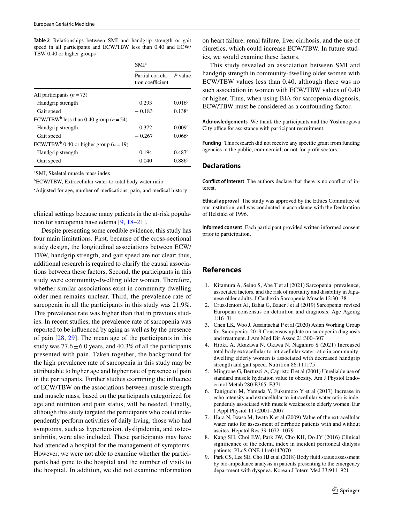<span id="page-4-8"></span>**Table 2** Relationships between SMI and handgrip strength or gait speed in all participants and ECW/TBW less than 0.40 and ECW/ TBW 0.40 or higher groups

|                                                        | SMI <sup>a</sup>                             |                    |  |
|--------------------------------------------------------|----------------------------------------------|--------------------|--|
|                                                        | Partial correla- P value<br>tion coefficient |                    |  |
| All participants $(n=73)$                              |                                              |                    |  |
| Handgrip strength                                      | 0.293                                        | 0.016 <sup>c</sup> |  |
| Gait speed                                             | $-0.183$                                     | $0.138^{c}$        |  |
| ECW/TBW <sup>b</sup> less than 0.40 group ( $n = 54$ ) |                                              |                    |  |
| Handgrip strength                                      | 0.372                                        | 0.009 <sup>c</sup> |  |
| Gait speed                                             | $-0.267$                                     | 0.066c             |  |
| ECW/TBW <sup>b</sup> 0.40 or higher group ( $n = 19$ ) |                                              |                    |  |
| Handgrip strength                                      | 0.194                                        | $0.487^c$          |  |
| Gait speed                                             | 0.040                                        | 0.886c             |  |

a SMI, Skeletal muscle mass index

b ECW/TBW, Extracellular water-to-total body water ratio

c Adjusted for age, number of medications, pain, and medical history

clinical settings because many patients in the at-risk population for sarcopenia have edema [[9,](#page-4-7) [18](#page-5-8)[–21](#page-5-10)].

Despite presenting some credible evidence, this study has four main limitations. First, because of the cross-sectional study design, the longitudinal associations between ECW/ TBW, handgrip strength, and gait speed are not clear; thus, additional research is required to clarify the causal associations between these factors. Second, the participants in this study were community-dwelling older women. Therefore, whether similar associations exist in community-dwelling older men remains unclear. Third, the prevalence rate of sarcopenia in all the participants in this study was 21.9%. This prevalence rate was higher than that in previous studies. In recent studies, the prevalence rate of sarcopenia was reported to be infuenced by aging as well as by the presence of pain [[28](#page-5-16), [29](#page-5-17)]. The mean age of the participants in this study was  $77.6 \pm 6.0$  years, and 40.3% of all the participants presented with pain. Taken together, the background for the high prevalence rate of sarcopenia in this study may be attributable to higher age and higher rate of presence of pain in the participants. Further studies examining the infuence of ECW/TBW on the associations between muscle strength and muscle mass, based on the participants categorized for age and nutrition and pain status, will be needed. Finally, although this study targeted the participants who could independently perform activities of daily living, those who had symptoms, such as hypertension, dyslipidemia, and osteoarthritis, were also included. These participants may have had attended a hospital for the management of symptoms. However, we were not able to examine whether the participants had gone to the hospital and the number of visits to the hospital. In addition, we did not examine information

on heart failure, renal failure, liver cirrhosis, and the use of diuretics, which could increase ECW/TBW. In future studies, we would examine these factors.

This study revealed an association between SMI and handgrip strength in community-dwelling older women with ECW/TBW values less than 0.40, although there was no such association in women with ECW/TBW values of 0.40 or higher. Thus, when using BIA for sarcopenia diagnosis, ECW/TBW must be considered as a confounding factor.

**Acknowledgements** We thank the participants and the Yoshinogawa City office for assistance with participant recruitment.

**Funding** This research did not receive any specifc grant from funding agencies in the public, commercial, or not-for-proft sectors.

# **Declarations**

**Conflict of interest** The authors declare that there is no confict of interest.

**Ethical approval** The study was approved by the Ethics Committee of our institution, and was conducted in accordance with the Declaration of Helsinki of 1996.

**Informed consent** Each participant provided written informed consent prior to participation.

# **References**

- <span id="page-4-0"></span>1. Kitamura A, Seino S, Abe T et al (2021) Sarcopenia: prevalence, associated factors, and the risk of mortality and disability in Japanese older adults. J Cachexia Sarcopenia Muscle 12:30–38
- <span id="page-4-1"></span>2. Cruz-Jentoft AJ, Bahat G, Bauer J et al (2019) Sarcopenia: revised European consensus on defnition and diagnosis. Age Ageing 1:16–31
- <span id="page-4-2"></span>3. Chen LK, Woo J, Assantachai P et al (2020) Asian Working Group for Sarcopenia: 2019 Consensus update on sarcopenia diagnosis and treatment. J Am Med Dir Assoc 21:300–307
- <span id="page-4-3"></span>4. Hioka A, Akazawa N, Okawa N, Nagahiro S (2021) Increased total body extracellular-to-intracellular water ratio in communitydwelling elderly women is associated with decreased handgrip strength and gait speed. Nutrition 86:111175
- <span id="page-4-4"></span>5. Mingrone G, Bertuzzi A, Capristo E et al (2001) Unreliable use of standard muscle hydration value in obesity. Am J Physiol Endocrinol Metab 280:E365–E371
- <span id="page-4-5"></span>6. Taniguchi M, Yamada Y, Fukumoto Y et al (2017) Increase in echo intensity and extracellular-to-intracellular water ratio is independently associated with muscle weakness in elderly women. Eur J Appl Physiol 117:2001–2007
- <span id="page-4-6"></span>7. Hara N, Iwasa M, Iwata K et al (2009) Value of the extracellular water ratio for assessment of cirrhotic patients with and without ascites. Hepatol Res 39:1072–1079
- 8. Kang SH, Choi EW, Park JW, Cho KH, Do JY (2016) Clinical signifcance of the edema index in incident peritoneal dialysis patients. PLoS ONE 11:e0147070
- <span id="page-4-7"></span>9. Park CS, Lee SE, Cho HJ et al (2018) Body fuid status assessment by bio-impedance analysis in patients presenting to the emergency department with dyspnea. Korean J Intern Med 33:911–921